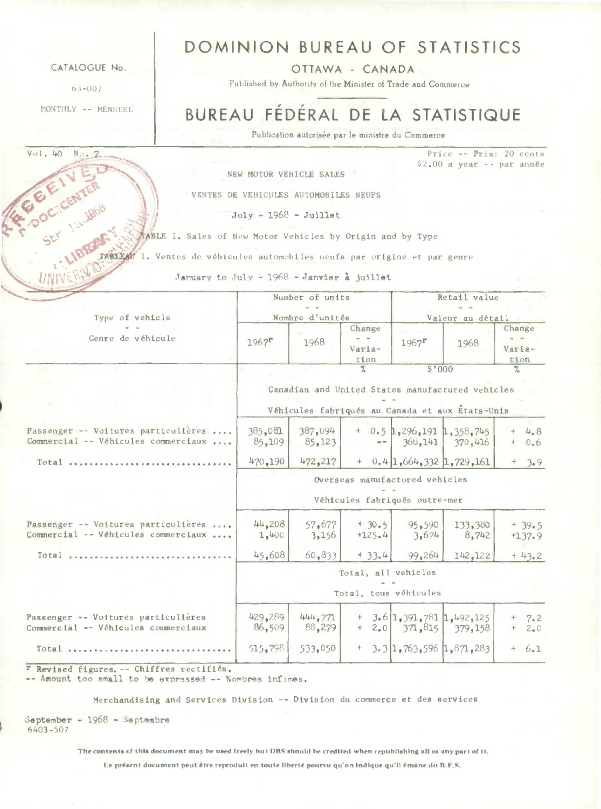DOMINION BUREAU OF STATISTICS CATALOGUE No OTTAWA - CANADA Published by Authority of the Minister of Trade and Commerce 63-007 MONTHLY -- MENSUEL BUREAU FEDERAL DE LA STATISTIQUE Publication autorisée par le ministre du Commerce Vol. 40 No. 2 Price -- Prix: 20 cents \$2.00 a year -- par année **NEW MOTOR VEHICLE SALES BELGENT VENTES DE VEHICULES AIJTOMOBILES NEUFS**   $July - 1968 - Julilet$ I. Sales of New Motor Vehicles by Origin and by Type **TABLEAM** 1. Ventes de véhicules automobiles neufs par origine et par genre UNIN January to July - 1968 - Janvier à juillet Number of units Retail value Type of vehicle Nombre d'unités Valeur au détail - - Change Change Change Change Change Genre de véhicule  $1967^{\circ}$  1968  $\frac{17}{\text{Varia}}$  1967<sup>r</sup> 1968  $\frac{17}{\text{Varia}}$ \_\_\_\_\_\_\_\_\_\_\_\_\_\_\_\_\_\_\_\_\_\_\_\_\_\_\_\_\_\_\_\_\_\_\_\_\_\_\_\_ tion tion **7. \$'OOO 7.**  Canadian and United States manufactured vehicles Véhicules fabriqués au Canada et aux Etats-Unis Passenger -- Voitures particulières .... 385,081 387,094 + 0.5 1,296,191 1,358,745 + 4.8<br>Commercial -- Véhicules commerciaux .... 85,109 85,123 -- 368,141 370,416 + 0.6 Commercial -- **Véhicules** commerciaux .... Total ................................. 470,190 472, <sup>2</sup>17 + 0.4 1,664,332 1,729,161 + 3.9 Overseas manufactured vehicles Véhicules fabriqués outre-mer 44,208 57,677 Passenger -- Voitures particulières .... + 30.5 95,590 133,380 + 39.5 Commercial -- Véhicules commerciaux .... 1,1400 3,674 3,156 +125.4 8,742 +137.9 45,608 60,833 Total ................................. + 33.4 99,264 142,122  $+43.2$ Total, all vehicles Total, tous véhicules Passenger -- Voitures particulires 429, <sup>2</sup> 89 444,771 + 3.6 1,391,781 1,492,125 -I- 7.2 Commercial -- Véhicules commerciaux Total ................................. 515,798 533,050 + 3.3 1 <sup>9</sup> 763,596 1, 871, 283 + 6.1 r Revised figures. -- Chiffres rectiftés.

-- Amount too small to be expressed -- Nombres infimes.

Merchandising and Services Division -- Division du commerce et des services

September - 1968 - Septembre 6403-507

**The contents of this document may be used freely but DBS should be credited when republishing all or any part of it.** 

Le présent document peut être reproduit en toute liberté pourvu qu'on Indique qu'il émane du B.F.S.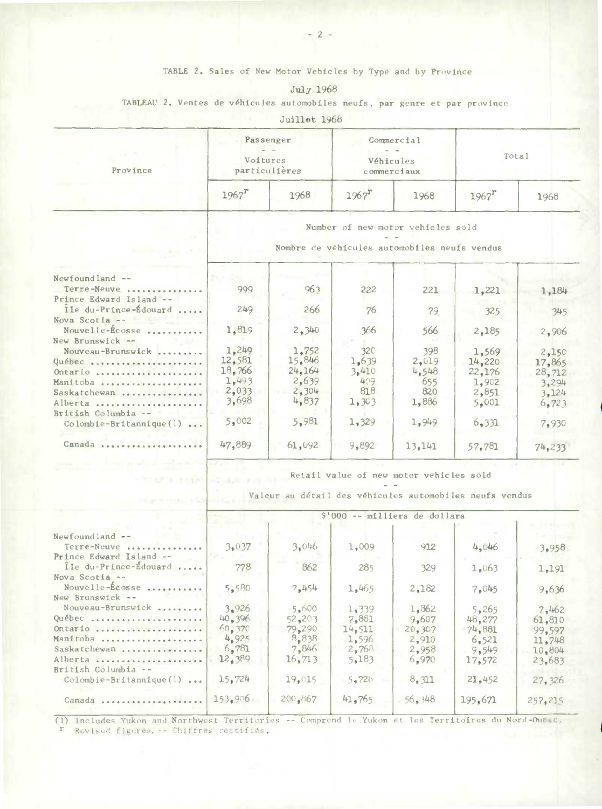## TABLE 2. Sales of New Motor Vehicles by Type and by Province

July 1968

## TABLEAU 2. Ventes de véhicules automobiles neufs, par genre et par province

Juillet 1968

| Voitures<br>particulières   |                     |      | Total                    |      |  |
|-----------------------------|---------------------|------|--------------------------|------|--|
| $1967$ <sup>r</sup><br>1968 | $1967$ <sup>r</sup> | 1968 | $1967$ <sup>r</sup>      | 1968 |  |
|                             |                     |      | Véhicules<br>commerciaux |      |  |

| Newfound land $-$ -                  |        |        |       |        |        |         |
|--------------------------------------|--------|--------|-------|--------|--------|---------|
| Terre-Neuve                          | 999    | 963    | 222   | 221    | 1,221  | 1,184   |
| Prince Edward Island --              |        |        |       |        |        |         |
| Ile du-Prince-Édouard                | 249    | 266    | 76    | 79     | 325    | 345     |
| Nova Scotia --                       |        |        |       |        |        |         |
| Nouvelle-Écosse                      | 1,819  | 2,340  | 366   | 566    | 2,185  | 2,906   |
| New Brunswick --                     |        |        |       |        |        |         |
| Nouveau-Brunswick                    | 1,249  | 1,752  | 32C   | 398    | 1,569  | 2,150   |
| Québec                               | 12,581 | 15.846 | 1,639 | 2,019  | 14,220 | 17.865  |
| Ontario                              | 18,766 | 24.164 | 3.410 | 4.548  | 22.176 | 28.712  |
| Manitoba                             | 1,493  | 2,639  | 409   | 655    | 1.902  | 3.294   |
| Saskatchewan                         | 2,033  | 2,304  | 818   | 820    | 2,851  | 3.124   |
| Alberta                              | 3,698  | 4,837  | 1.303 | 1,886  | 5,001  | 6,723   |
| British Columbia --                  |        |        |       |        |        |         |
| $\text{Co}$ lombie-Britannique $(1)$ | 5.002  | 5,981  | 1,329 | 1.949  | 6,331  | 7,930   |
|                                      |        |        |       |        |        |         |
| Canada                               | 47,889 | 61.092 | 9,892 | 13,141 | 57.781 | 74, 233 |
|                                      |        |        |       |        |        |         |

Retail value of new motor vehicles sold

Valeur au détail des véhicules automobiles neufs vendus

|                            | \$'000 -- milliers de dollars |         |        |        |         |         |  |  |  |  |
|----------------------------|-------------------------------|---------|--------|--------|---------|---------|--|--|--|--|
|                            |                               |         |        |        |         |         |  |  |  |  |
| Newfound $l$ and $-$       |                               |         |        |        |         |         |  |  |  |  |
| Terre-Neuve                | 3.037                         | 3.046   | 1,009  | 912    | 4,046   | 3,958   |  |  |  |  |
| Prince Edward Island --    |                               |         |        |        |         |         |  |  |  |  |
| Île du-Prince-Édouard      | 778                           | 862     | 285    | 329    | 1,063   | 1,191   |  |  |  |  |
| Nova Scotia --             |                               |         |        |        |         |         |  |  |  |  |
| Nouvelle- $\&$ cosse       | 5,580                         | 7,454   | 1,465  | 2,182  | 7,045   | 9,636   |  |  |  |  |
| New Brunswick --           |                               |         |        |        |         |         |  |  |  |  |
| Nouveau-Brunswick          | 3.926                         | 5,600   | 1,339  | 1,862  | 5,265   | 7.462   |  |  |  |  |
| Québec                     | 40.396                        | 52,203  | 7.881  | 9,607  | 48.277  | 61,810  |  |  |  |  |
| Ontario                    | 60,370                        | 79,290  | 14.511 | 20.307 | 74.881  | 99.597  |  |  |  |  |
| Manitoba                   | 4.925                         | 8,838   | 1,596  | 2.910  | 6,521   | 11.748  |  |  |  |  |
| Saskatchewan               | 6,781                         | 7.846   | 2.768  | 2,958  | 9.549   | 10.804  |  |  |  |  |
| Alberta                    | 12.389                        | 16, 713 | 5,183  | 6,970  | 17.572  | 23,683  |  |  |  |  |
| British Columbia --        |                               |         |        |        |         |         |  |  |  |  |
| $Colombie-Br1tannique(1) $ | 15.724                        | 19.015  | 5.728  | 8,311  | 21,452  | 27,326  |  |  |  |  |
| Canada                     | 153.906                       | 200,867 | 41.765 | 56,348 | 195,671 | 257,215 |  |  |  |  |
|                            |                               |         |        |        |         |         |  |  |  |  |

(1) Includes Yukon and Northwest Territories -- Comprend le Yukon et les Territoires du Nord-Ouest. " Revised figures. -- Chiffres rectifiés.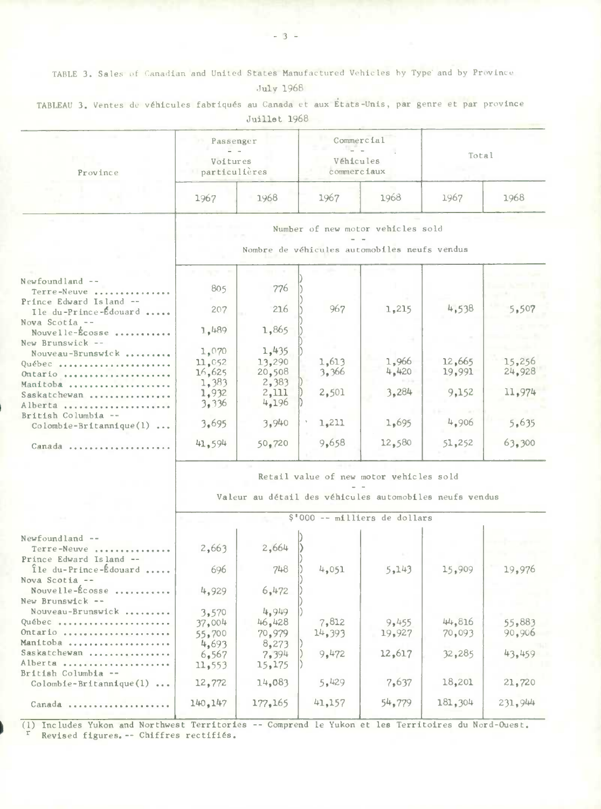TABLE 3. Sales of Canadian and United States Manufactured Vehicles by Type and by Province

.July 1968

|  |  |  |              |  | TABLEAU 3. Ventes de véhicules fabriqués au Canada et aux Etats-Unis, par genre et par province |  |  |  |
|--|--|--|--------------|--|-------------------------------------------------------------------------------------------------|--|--|--|
|  |  |  | Juillet 1968 |  |                                                                                                 |  |  |  |

|                                                  | Passenger<br>Voitures                        |                                                         | Véhicules       | Commercial      | Total            |                  |  |  |  |  |  |  |  |
|--------------------------------------------------|----------------------------------------------|---------------------------------------------------------|-----------------|-----------------|------------------|------------------|--|--|--|--|--|--|--|
| Province                                         | particulières                                |                                                         | commerciaux     |                 |                  |                  |  |  |  |  |  |  |  |
|                                                  | 1967                                         | 1968                                                    | 1967            | 1968            | 1967             | 1968             |  |  |  |  |  |  |  |
|                                                  | Number of new motor vehicles sold            |                                                         |                 |                 |                  |                  |  |  |  |  |  |  |  |
|                                                  | Nombre de véhicules automobiles neufs vendus |                                                         |                 |                 |                  |                  |  |  |  |  |  |  |  |
|                                                  |                                              |                                                         |                 |                 |                  |                  |  |  |  |  |  |  |  |
| $Newtondland --$<br>Terre-Neuve                  | 805                                          | 776                                                     |                 |                 |                  |                  |  |  |  |  |  |  |  |
| Prince Edward Island --<br>Ile du-Prince-Édouard | 207                                          | 216                                                     | 967             | 1,215           | 4,538            | 5,507            |  |  |  |  |  |  |  |
| Nova Scotia --<br>Nouvelle-Écosse                | 1,489                                        | 1,865                                                   |                 |                 |                  |                  |  |  |  |  |  |  |  |
| New Brunswick --<br>Nouveau-Brunswick            | 1,070                                        | 1,435                                                   |                 |                 |                  |                  |  |  |  |  |  |  |  |
| Québec<br>Ontario                                | 11,052<br>16,625                             | 13,290<br>20,508                                        | 1,613<br>3,366  | 1,966<br>4,420  | 12,665<br>19,991 | 15,256<br>24,928 |  |  |  |  |  |  |  |
| Manitoba<br>Saskatchewan                         | 1,383<br>1,932                               | 2,383<br>$2,111$<br>$4,196$                             | 2,501           | 3,284           | 9,152            | 11,974           |  |  |  |  |  |  |  |
| Alberta<br>British Columbia --                   | 3,336                                        |                                                         |                 |                 |                  |                  |  |  |  |  |  |  |  |
| $\text{Colomb1e-Br1tann1que(1)} \ldots$          | 3,695                                        | 3,940                                                   | 1,211           | 1,695           | 4,906            | 5,635            |  |  |  |  |  |  |  |
| Canada                                           | 41,594                                       | 50,720                                                  | 9,658           | 12,580          | 51,252           | 63,300           |  |  |  |  |  |  |  |
|                                                  | Retail value of new motor vehicles sold      |                                                         |                 |                 |                  |                  |  |  |  |  |  |  |  |
|                                                  |                                              | Valeur au détail des véhicules automobiles neufs vendus |                 |                 |                  |                  |  |  |  |  |  |  |  |
|                                                  |                                              | \$'000 -- milliers de dollars                           |                 |                 |                  |                  |  |  |  |  |  |  |  |
| Newfoundland --                                  |                                              |                                                         |                 |                 |                  |                  |  |  |  |  |  |  |  |
| Terre-Neuve<br>Prince Edward Island --           | 2,663                                        | 2,664                                                   |                 |                 |                  |                  |  |  |  |  |  |  |  |
| Île du-Prince-Édouard<br>Nova Scotia --          | 696                                          | 748                                                     | 4,051           | 5,143           | 15,909           | 19,976           |  |  |  |  |  |  |  |
| Nouvelle-Écosse<br>New Brunswick --              | 4,929                                        | 6,472                                                   |                 |                 |                  |                  |  |  |  |  |  |  |  |
| Nouveau-Brunswick                                | 3,570                                        | 4,949                                                   |                 |                 |                  |                  |  |  |  |  |  |  |  |
| Québec<br>Ontario                                | 37,004<br>55,700                             | 46,428<br>70,979                                        | 7,812<br>14,393 | 9,455<br>19,927 | 44,816<br>70,093 | 55,883<br>90,906 |  |  |  |  |  |  |  |
| Manitoba                                         | 4,693                                        | 8,273                                                   |                 |                 |                  |                  |  |  |  |  |  |  |  |
| Saskatchewan<br>Alberta                          | 6,567<br>11,553                              | 7,394<br>15,175                                         | 9,472           | 12,617          | 32,285           | 43,459           |  |  |  |  |  |  |  |
| British Columbia --<br>$Colomble-Britan1que(1) $ | 12,772                                       | 14,083                                                  | 5,429           | 7,637           | 18,201           | 21,720           |  |  |  |  |  |  |  |
| Canada                                           | 140,147                                      | 177, 165                                                | 41,157          | 54,779          | 181,304          | 231,944          |  |  |  |  |  |  |  |

(1) Includes Yukon and Northwest Territories -- Comprend le Yukon et les Territoires du Nord-Ouest. Revised figures. -- Chiffres rectifiés.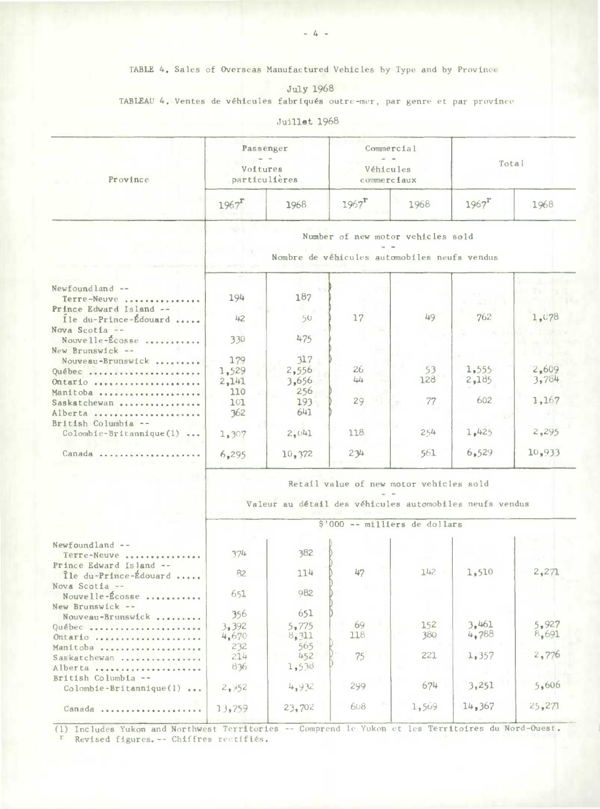TABLE 4. Sales of Overseas Manufactured Vehicles by Type and by Province

July 1968

TABLEAU 4. Ventes de véhicules fabriqués outre-mer, par genre et par province

Juillat 1968

| Province                                         | Voitures                                                                                                                            | Passenger<br>particulières |                     | Commercial<br>Véhicules<br>commerciaux | Total               |        |  |  |  |  |  |
|--------------------------------------------------|-------------------------------------------------------------------------------------------------------------------------------------|----------------------------|---------------------|----------------------------------------|---------------------|--------|--|--|--|--|--|
|                                                  | $1967$ <sup>r</sup>                                                                                                                 | 1968                       | $1967$ <sup>r</sup> | 1968                                   | $1967$ <sup>r</sup> | 1968   |  |  |  |  |  |
|                                                  | Number of new motor vehicles sold<br>Nombre de véhicules automobiles neufs vendus                                                   |                            |                     |                                        |                     |        |  |  |  |  |  |
| Newfoundland --<br>Terre-Neuve                   | 194                                                                                                                                 | 187                        |                     |                                        |                     |        |  |  |  |  |  |
| Prince Edward Island --<br>Ile du-Prince-Édouard | 42                                                                                                                                  | -50                        | 17                  | 49                                     | 762                 | 1,078  |  |  |  |  |  |
| Nova Scotia --                                   |                                                                                                                                     |                            |                     |                                        |                     |        |  |  |  |  |  |
| Nouvelle-Écosse<br>New Brunswick --              | 330                                                                                                                                 | 475                        |                     |                                        |                     |        |  |  |  |  |  |
| Nouveau-Brunswick                                | 179                                                                                                                                 | 317                        |                     |                                        |                     |        |  |  |  |  |  |
| Québec                                           | 1,529                                                                                                                               | 2,556                      | 26                  | 53                                     | 1,555               | 2,609  |  |  |  |  |  |
| Ontario                                          | 2,141                                                                                                                               | 3,656                      | 44                  | 128                                    | 2,185               | 3,784  |  |  |  |  |  |
| Manitoba                                         | 110                                                                                                                                 | 256                        |                     |                                        |                     |        |  |  |  |  |  |
| Saskatchewan                                     | 101                                                                                                                                 | 193                        | 29                  | 77                                     | 602                 | 1,167  |  |  |  |  |  |
| Alberta                                          | 362                                                                                                                                 | 641                        |                     |                                        |                     |        |  |  |  |  |  |
| British Columbia --                              |                                                                                                                                     |                            |                     |                                        |                     |        |  |  |  |  |  |
| $\text{Colomb1e-Br1tann1que(1)} $                | 1,307                                                                                                                               | 2.041                      | 118                 | 254                                    | 1,425               | 2,295  |  |  |  |  |  |
| Canada                                           | 6,295                                                                                                                               | 10,372                     | 234                 | 561                                    | 6,529               | 10,933 |  |  |  |  |  |
|                                                  | Retail value of new motor vehicles sold<br>Valeur au détail des véhicules automobiles neufs vendus<br>\$'000 -- milliers de dollars |                            |                     |                                        |                     |        |  |  |  |  |  |

| Newfoundland $-$<br>Terre-Neuve                                | 374            | 382            |           |            |                |                |
|----------------------------------------------------------------|----------------|----------------|-----------|------------|----------------|----------------|
| Prince Edward Island --<br>Île du-Prince-Édouard               | 82             | 114            | 47        | 142        | 1.510          | 2,271          |
| Nova Scotia --<br>Nouvelle-Écosse                              | 651            | 982            |           |            |                |                |
| New Brunswick --<br>Nouveau-Brunswick                          | 356            | 651            |           |            |                |                |
| Québec<br>Ontario                                              | 3.392<br>4,670 | 5,775<br>8,311 | 69<br>118 | 152<br>380 | 3,461<br>4,788 | 5,927<br>8,691 |
| Manitoba                                                       | 232<br>214     | 565<br>452     | 75        | 221        | 1,357          | 2,776          |
| Saskatchewan<br>Alberta                                        | 836            | 1,538          |           |            |                |                |
| British Columbia --<br>$\text{Colombie-Britannique}(1) \ldots$ | 2, 952         | 4.932          | 299       | 674        | 3,251          | 5,606          |
| Canada                                                         | 13,759         | 23,702         | 608       | 1,569      | 14,367         | 25.271         |
|                                                                |                |                |           |            |                |                |

(1) Includes Yukon and Northwest Territories -- Comprend le Yukon et les Territoires du Nord-Ouest. Revised figures. -- Chiffres rectifiés.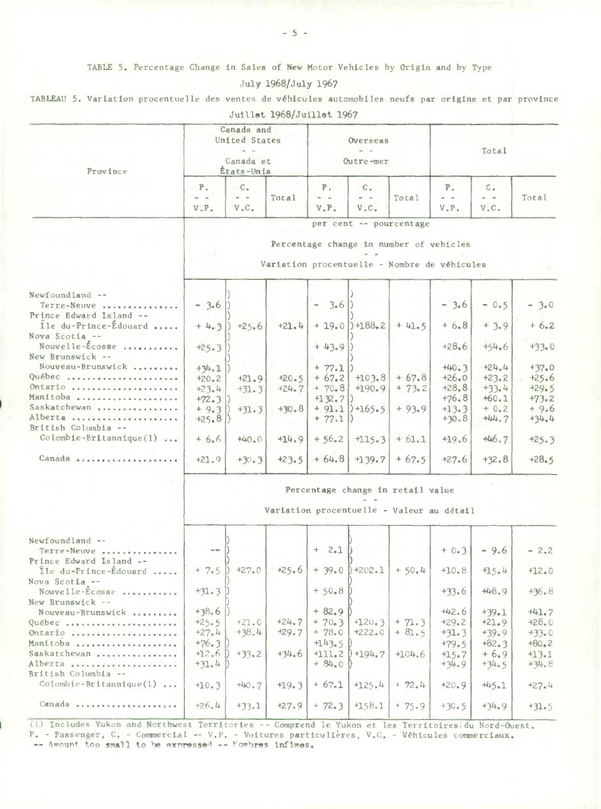TABLE 5. Percentage Change in Sales of New Motor Vehicles by Origin and by Type

## July 1968/July 1967

TABLEAU 5. Variation procentuelle des ventes de véhicules automobiles neufs par origine et par province Juillet 1968/Juillet 1967

| Province                                                                                                                                            |                                                                         | Canada and<br>United States<br>Canada et<br>États-Unis |                                          | Overseas<br>Outre-mer                                               |                                                        |                                                                                         | Total                                                                                                     |                                                                                                          |                                                                          |
|-----------------------------------------------------------------------------------------------------------------------------------------------------|-------------------------------------------------------------------------|--------------------------------------------------------|------------------------------------------|---------------------------------------------------------------------|--------------------------------------------------------|-----------------------------------------------------------------------------------------|-----------------------------------------------------------------------------------------------------------|----------------------------------------------------------------------------------------------------------|--------------------------------------------------------------------------|
|                                                                                                                                                     | P.<br>V.P.                                                              | $C_{+}$<br>$=$ $-$<br>V.C.                             | Total                                    | Ρ.<br>$ -$<br>$V$ , $P$ ,                                           | $C_{\alpha}$<br>$V$ , $C$ ,                            | Total                                                                                   | $P_{\alpha}$<br>$\frac{1}{2} \left( \frac{1}{2} \right) = \frac{1}{2} \left( \frac{1}{2} \right)$<br>V.P. | $c_{\star}$<br>$\frac{1}{2} \left( \frac{1}{2} \right) = \frac{1}{2} \left( \frac{1}{2} \right)$<br>V.C. | Total                                                                    |
|                                                                                                                                                     |                                                                         |                                                        |                                          |                                                                     | per cent -- pourcentage                                | Percentage change in number of vehicles<br>Variation procentuelle - Nombre de véhicules |                                                                                                           |                                                                                                          |                                                                          |
| Newfoundland --<br>Terre-Neuve<br>Prince Edward Island --<br>Île du-Prince-Édouard                                                                  | $-3.6$<br>$+4.3$                                                        | $+25.6$                                                | $+21.4$                                  | $-3.6$                                                              | $+19.0$ ) +188.2                                       | $+41.5$                                                                                 | $-3.6$<br>$+6.8$                                                                                          | $-0.5$<br>$+3.9$                                                                                         | $-3.0$<br>$+6.2$                                                         |
| Nova Scotia --<br>Nouvelle-Écosse                                                                                                                   | $+25.3$                                                                 |                                                        |                                          | $+43.9$                                                             |                                                        |                                                                                         | $+28,6$                                                                                                   | $+54.6$                                                                                                  | $+33.0$                                                                  |
| New Brunswick --<br>Nouveau-Brunswick<br>Québec<br>Ontario<br>Manitoba<br>Saskatchewan<br>Alberta<br>British Columbia --<br>Colombie-Britannique(1) | $+34.1$<br>$+20.2$<br>$+23.4$<br>$+72.3$<br>$+9.3$<br>$+25.8$<br>$+6.6$ | $+21.9$<br>$+31.3$<br>$+31.3$<br>$+40.0$               | $+20.5$<br>$+24.7$<br>$+30.8$<br>$+14.9$ | $+ 77.1$<br>$+67.2$<br>$+ 70.8$<br>$-132.7)$<br>$+ 77.1$<br>$+56.2$ | $+103.8$<br>$+190.9$<br>$+ 91.1$ $+ 165.5$<br>$+115.3$ | $+67.8$<br>$+73.2$<br>$+93.9$<br>$+61.1$                                                | H40.3<br>$+26.0$<br>$+28.8$<br>$+76.8$<br>$+13.3$<br>$+30.8$<br>$+19.6$                                   | $+24.4$<br>$+23.2$<br>$+33.4$<br>$+60.1$<br>$+0.2$<br>$+44.7$<br>$+46.7$                                 | $+37.0$<br>$+25.6$<br>$+29.5$<br>$+73.2$<br>$+9.6$<br>$+34.4$<br>$+25.3$ |
| Canada                                                                                                                                              | $+21.9$                                                                 | $+30.3$                                                | $+23.5$                                  | $+64.8$                                                             | $+139.7$                                               | $+67.5$                                                                                 | $+27.6$                                                                                                   | $+32.8$                                                                                                  | $+28.5$                                                                  |
|                                                                                                                                                     |                                                                         |                                                        |                                          |                                                                     |                                                        | Percentage change in retail value<br>Variation procentuelle - Valeur au détail          |                                                                                                           |                                                                                                          |                                                                          |
| Newfoundland --<br>Terre-Neuve<br>Prince Edward Island --<br>Île du-Prince-Édouard                                                                  | $\sim$ $-$<br>$+7.5$                                                    | $+27.0$                                                |                                          | $+ 2.1$<br>$+25.6$ + 39.0 + 202.1                                   |                                                        | $+50.4$                                                                                 | $+0.3$<br>$+10.8$                                                                                         | $-9.6$<br>$+15.4$                                                                                        | $-2.2$<br>$+12.0$                                                        |
| Nova Scotia --<br>Nouvelle-Écosse<br>New Brunswick --                                                                                               | $+31.3$ )                                                               |                                                        |                                          | $+50.8$                                                             |                                                        |                                                                                         | $+33.6$                                                                                                   | $+48.9$                                                                                                  | $+36.8$                                                                  |
| Nouveau-Brunswick<br>Québec<br>Ontario<br>Manitoba<br>Saskatchewan<br>Alberta<br>British Columbia --                                                | $+38.6$<br>$+25.5$<br>$+27.4$<br>$+76.3$<br>$+12.6$<br>$+31.4$          | $+21.0$<br>$+38.4$<br>$+33.2$                          | $+24.7$<br>$+29.7$<br>$+34.6$            | $+82.9$<br>$+70.3$<br>$+78.0$<br>$+143.5D$<br>$+84.0$               | $+120.3$<br>$+222.0$<br>$+111.2$ $+194.7$              | $+71.3$<br>$+ 81.5$<br>$+104.6$                                                         | $+42.6$<br>$+29.2$<br>$+31.3$<br>$+79.5$<br>$+15.7$<br>$+34.9$                                            | $+39.1$<br>$+21.9$<br>$+39.9$<br>$+82.3$<br>$+6.9$<br>$+34.5$                                            | $+41.7$<br>$+28.0$<br>$+33.0$<br>$+80.2$<br>$+13.1$<br>$+34.8$           |
| $\text{Colombie-Britannique}(1) \ldots$                                                                                                             | $+10.3$                                                                 | $+40.7$                                                | $+19.3$                                  | $+67.1$                                                             | $+125.4$                                               | $+ 72.4$                                                                                | $+20.9$                                                                                                   | $+45.1$                                                                                                  | $+27.4$                                                                  |
| Canada                                                                                                                                              | $+26.4$                                                                 | $+33.1$                                                | $+27.9$                                  | $+ 72.3$                                                            | $+158.1$                                               | $+75.9$                                                                                 | $+30.5$                                                                                                   | $+34.9$                                                                                                  | $+31.5$                                                                  |

(1) Includes Yukon and Northwest Territories -- Comprend le Yukon et les Territoires du Nord-Ouest. P. - Passenger, C. - Commercial -- V.P. - Voitures particulières, V.C. - Véhicules commerciaux.<br>-- Amount too small to be expressed -- Nombres infimes.